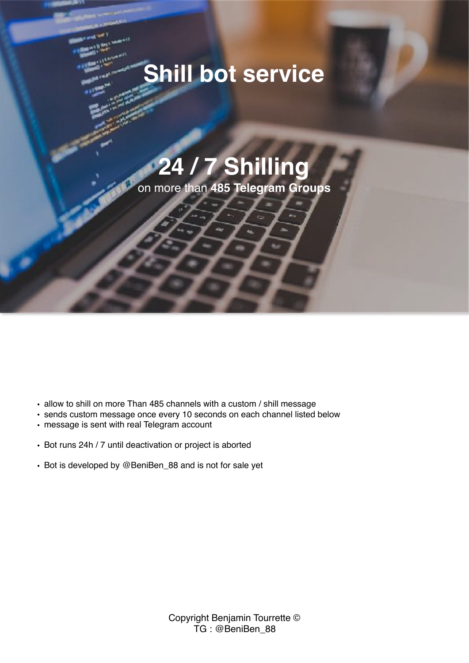## **Shill bot service**

# **24 / 7 Shilling**

on more than **485 Telegram Groups**

- allow to shill on more Than 485 channels with a custom / shill message
- sends custom message once every 10 seconds on each channel listed below
- message is sent with real Telegram account
- Bot runs 24h / 7 until deactivation or project is aborted
- Bot is developed by @BeniBen\_88 and is not for sale yet

Copyright Benjamin Tourrette © TG : @BeniBen\_88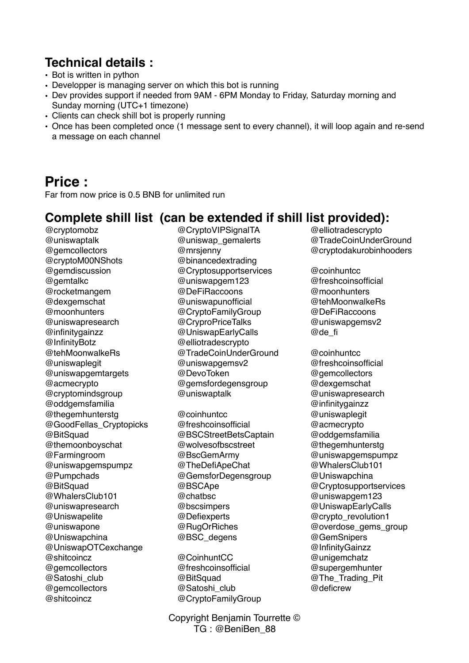#### **Technical details :**

- Bot is written in python
- Developper is managing server on which this bot is running
- Dev provides support if needed from 9AM 6PM Monday to Friday, Saturday morning and Sunday morning (UTC+1 timezone)
- Clients can check shill bot is properly running
- Once has been completed once (1 message sent to every channel), it will loop again and re-send a message on each channel

### **Price :**

Far from now price is 0.5 BNB for unlimited run

#### **Complete shill list (can be extended if shill list provided):**

@cryptomobz @uniswaptalk @gemcollectors @cryptoM00NShots @gemdiscussion @gemtalkc @rocketmangem @dexgemschat @moonhunters @uniswapresearch @infinitygainzz @InfinityBotz @tehMoonwalkeRs @uniswaplegit @uniswapgemtargets @acmecrypto @cryptomindsgroup @oddgemsfamilia @thegemhunterstg @GoodFellas\_Cryptopicks @BitSquad @themoonboyschat @Farmingroom @uniswapgemspumpz @Pumpchads @BitSquad @WhalersClub101 @uniswapresearch @Uniswapelite @uniswapone @Uniswapchina @UniswapOTCexchange @shitcoincz @gemcollectors @Satoshi\_club @gemcollectors @shitcoincz

- @CryptoVIPSignalTA @uniswap\_gemalerts @mrsjenny @binancedextrading @Cryptosupportservices @uniswapgem123 @DeFiRaccoons @uniswapunofficial @CryptoFamilyGroup @CryproPriceTalks @UniswapEarlyCalls @elliotradescrypto @TradeCoinUnderGround @uniswapgemsv2 @DevoToken @gemsfordegensgroup @uniswaptalk
- @coinhuntcc @freshcoinsofficial @BSCStreetBetsCaptain @wolvesofbscstreet @BscGemArmy @TheDefiApeChat @GemsforDegensgroup @BSCApe @chatbsc @bscsimpers @Defiexperts @RugOrRiches @BSC\_degens

@CoinhuntCC @freshcoinsofficial @BitSquad @Satoshi\_club @CryptoFamilyGroup

Copyright Benjamin Tourrette © TG : @BeniBen\_88

@elliotradescrypto @TradeCoinUnderGround @cryptodakurobinhooders

@coinhuntcc @freshcoinsofficial @moonhunters @tehMoonwalkeRs @DeFiRaccoons @uniswapgemsv2 @de\_fi

@coinhuntcc @freshcoinsofficial @gemcollectors @dexgemschat @uniswapresearch @infinitygainzz @uniswaplegit @acmecrypto @oddgemsfamilia @thegemhunterstg @uniswapgemspumpz @WhalersClub101 @Uniswapchina @Cryptosupportservices @uniswapgem123 @UniswapEarlyCalls @crypto\_revolution1 @overdose\_gems\_group @GemSnipers @InfinityGainzz @unigemchatz @supergemhunter @The\_Trading\_Pit @deficrew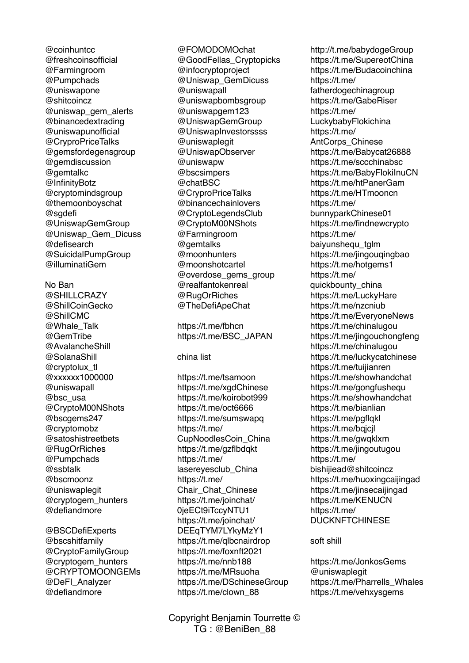@coinhuntcc @freshcoinsofficial @Farmingroom @Pumpchads @uniswapone @shitcoincz @uniswap\_gem\_alerts @binancedextrading @uniswapunofficial @CryproPriceTalks @gemsfordegensgroup @gemdiscussion @gemtalkc @InfinityBotz @cryptomindsgroup @themoonboyschat @sgdefi @UniswapGemGroup @Uniswap\_Gem\_Dicuss @defisearch @SuicidalPumpGroup @illuminatiGem No Ban @SHILLCRAZY @ShillCoinGecko @ShillCMC @Whale\_Talk @GemTribe @AvalancheShill @SolanaShill @cryptolux\_tl @xxxxxx1000000 @uniswapall @bsc\_usa @CryptoM00NShots @bscgems247 @cryptomobz @satoshistreetbets @RugOrRiches @Pumpchads @ssbtalk @bscmoonz @uniswaplegit @cryptogem\_hunters @defiandmore

@BSCDefiExperts @bscshitfamily @CryptoFamilyGroup @cryptogem\_hunters @CRYPTOMOONGEMs @DeFI\_Analyzer @defiandmore

@FOMODOMOchat @GoodFellas\_Cryptopicks @infocryptoproject @Uniswap\_GemDicuss @uniswapall @uniswapbombsgroup @uniswapgem123 @UniswapGemGroup @UniswapInvestorssss @uniswaplegit @UniswapObserver @uniswapw @bscsimpers @chatBSC @CryproPriceTalks @binancechainlovers @CryptoLegendsClub @CryptoM00NShots @Farmingroom @gemtalks @moonhunters @moonshotcartel @overdose\_gems\_group @realfantokenreal @RugOrRiches @TheDefiApeChat

https://t.me/fbhcn https://t.me/BSC\_JAPAN

china list

https://t.me/tsamoon https://t.me/xgdChinese https://t.me/koirobot999 https://t.me/oct6666 https://t.me/sumswapq https://t.me/ CupNoodlesCoin\_China https://t.me/gzflbdqkt https://t.me/ lasereyesclub\_China https://t.me/ Chair Chat Chinese https://t.me/joinchat/ 0jeECt9iTccyNTU1 https://t.me/joinchat/ DEEqTYM7LYkyMzY1 https://t.me/qlbcnairdrop https://t.me/foxnft2021 https://t.me/nnb188 https://t.me/MRsuoha https://t.me/DSchineseGroup https://t.me/clown\_88

Copyright Benjamin Tourrette © TG : @BeniBen\_88

http://t.me/babydogeGroup https://t.me/SupereotChina https://t.me/Budacoinchina https://t.me/ fatherdogechinagroup https://t.me/GabeRiser https://t.me/ LuckybabyFlokichina https://t.me/ AntCorps\_Chinese https://t.me/Babycat26888 https://t.me/sccchinabsc https://t.me/BabyFlokiInuCN https://t.me/htPanerGam https://t.me/HTmooncn https://t.me/ bunnyparkChinese01 https://t.me/findnewcrypto https://t.me/ baiyunshequ\_tglm https://t.me/jingouqingbao https://t.me/hotgems1 https://t.me/ quickbounty\_china https://t.me/LuckyHare https://t.me/nzcniub https://t.me/EveryoneNews https://t.me/chinalugou https://t.me/jingouchongfeng https://t.me/chinalugou https://t.me/luckycatchinese https://t.me/tuijianren https://t.me/showhandchat https://t.me/gongfushequ https://t.me/showhandchat https://t.me/bianlian https://t.me/pgflqkl https://t.me/baicil https://t.me/gwqklxm https://t.me/jingoutugou https://t.me/ bishijiead@shitcoincz https://t.me/huoxingcaijingad https://t.me/jinsecaijingad https://t.me/KENUCN https://t.me/ DUCKNFTCHINESE

soft shill

https://t.me/JonkosGems @uniswaplegit https://t.me/Pharrells\_Whales https://t.me/vehxysgems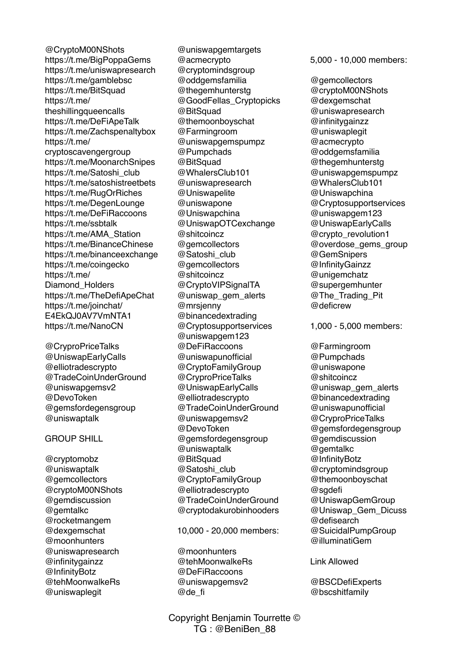@CryptoM00NShots https://t.me/BigPoppaGems https://t.me/uniswapresearch https://t.me/gamblebsc https://t.me/BitSquad https://t.me/ theshillingqueencalls https://t.me/DeFiApeTalk https://t.me/Zachspenaltybox https://t.me/ cryptoscavengergroup https://t.me/MoonarchSnipes https://t.me/Satoshi\_club https://t.me/satoshistreetbets https://t.me/RugOrRiches https://t.me/DegenLounge https://t.me/DeFiRaccoons https://t.me/ssbtalk https://t.me/AMA\_Station https://t.me/BinanceChinese https://t.me/binanceexchange https://t.me/coingecko https://t.me/ Diamond\_Holders https://t.me/TheDefiApeChat https://t.me/joinchat/ E4EkQJ0AV7VmNTA1 https://t.me/NanoCN

@CryproPriceTalks @UniswapEarlyCalls @elliotradescrypto @TradeCoinUnderGround @uniswapgemsv2 @DevoToken @gemsfordegensgroup @uniswaptalk

#### GROUP SHILL

@cryptomobz @uniswaptalk @gemcollectors @cryptoM00NShots @gemdiscussion @gemtalkc @rocketmangem @dexgemschat @moonhunters @uniswapresearch @infinitygainzz @InfinityBotz @tehMoonwalkeRs @uniswaplegit

@uniswapgemtargets @acmecrypto @cryptomindsgroup @oddgemsfamilia @thegemhunterstg @GoodFellas\_Cryptopicks @BitSquad @themoonboyschat @Farmingroom @uniswapgemspumpz @Pumpchads @BitSquad @WhalersClub101 @uniswapresearch @Uniswapelite @uniswapone @Uniswapchina @UniswapOTCexchange @shitcoincz @gemcollectors @Satoshi\_club @gemcollectors @shitcoincz @CryptoVIPSignalTA @uniswap\_gem\_alerts @mrsjenny @binancedextrading @Cryptosupportservices @uniswapgem123 @DeFiRaccoons @uniswapunofficial @CryptoFamilyGroup @CryproPriceTalks @UniswapEarlyCalls @elliotradescrypto @TradeCoinUnderGround @uniswapgemsv2 @DevoToken @gemsfordegensgroup @uniswaptalk @BitSquad @Satoshi\_club @CryptoFamilyGroup @elliotradescrypto @TradeCoinUnderGround @cryptodakurobinhooders

10,000 - 20,000 members:

@moonhunters @tehMoonwalkeRs @DeFiRaccoons @uniswapgemsv2 @de\_fi

5,000 - 10,000 members:

@gemcollectors @cryptoM00NShots @dexgemschat @uniswapresearch @infinitygainzz @uniswaplegit @acmecrypto @oddgemsfamilia @thegemhunterstg @uniswapgemspumpz @WhalersClub101 @Uniswapchina @Cryptosupportservices @uniswapgem123 @UniswapEarlyCalls @crypto\_revolution1 @overdose\_gems\_group @GemSnipers @InfinityGainzz @unigemchatz @supergemhunter @The\_Trading\_Pit @deficrew

1,000 - 5,000 members:

@Farmingroom @Pumpchads @uniswapone @shitcoincz @uniswap\_gem\_alerts @binancedextrading @uniswapunofficial @CryproPriceTalks @gemsfordegensgroup @gemdiscussion @gemtalkc @InfinityBotz @cryptomindsgroup @themoonboyschat @sgdefi @UniswapGemGroup @Uniswap\_Gem\_Dicuss @defisearch @SuicidalPumpGroup @illuminatiGem

Link Allowed

@BSCDefiExperts @bscshitfamily